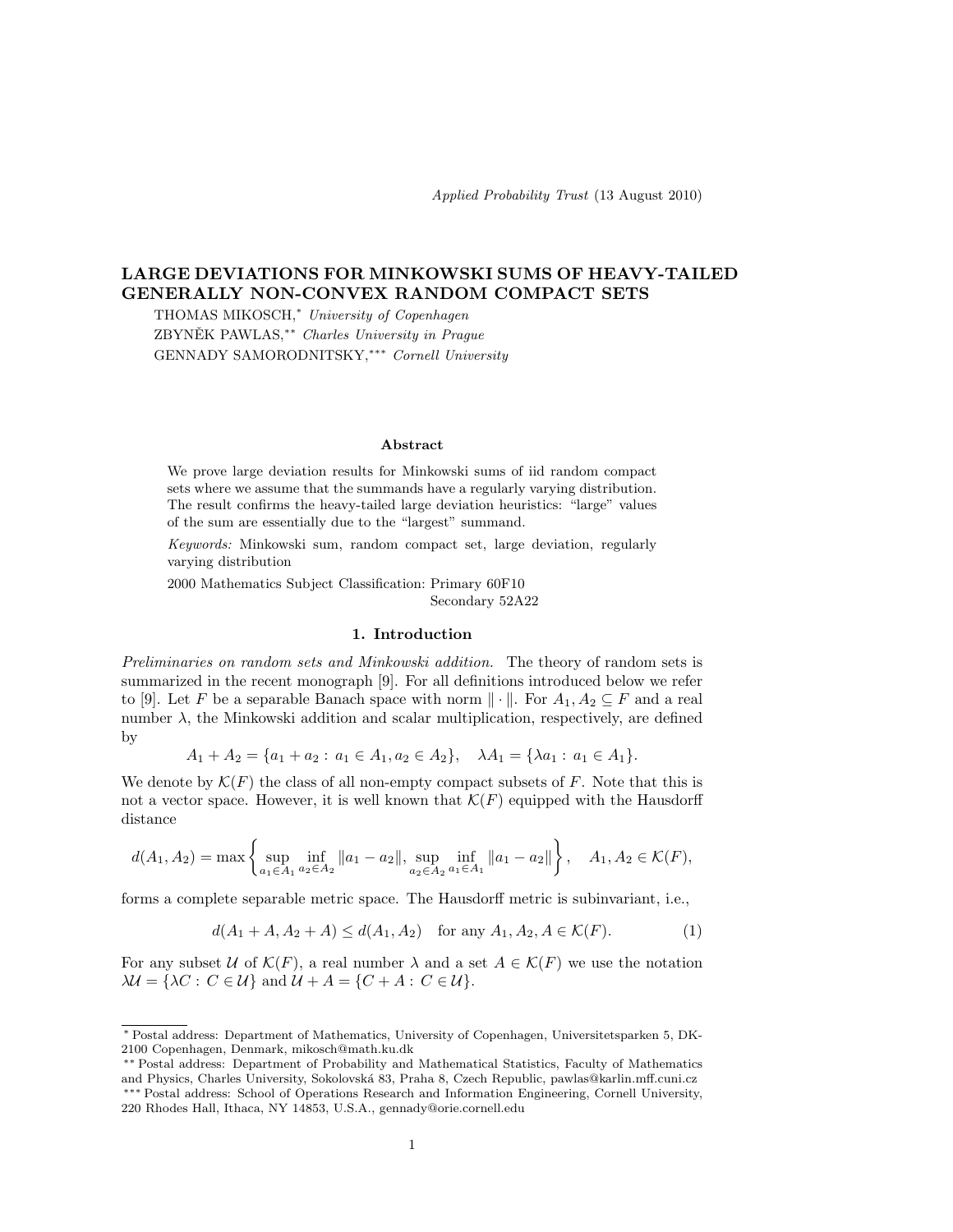Applied Probability Trust (13 August 2010)

# LARGE DEVIATIONS FOR MINKOWSKI SUMS OF HEAVY-TAILED GENERALLY NON-CONVEX RANDOM COMPACT SETS

THOMAS MIKOSCH,<sup>∗</sup> University of Copenhagen ZBYNĚK PAWLAS,<sup>\*\*</sup> Charles University in Prague GENNADY SAMORODNITSKY,∗∗∗ Cornell University

### Abstract

We prove large deviation results for Minkowski sums of iid random compact sets where we assume that the summands have a regularly varying distribution. The result confirms the heavy-tailed large deviation heuristics: "large" values of the sum are essentially due to the "largest" summand.

Keywords: Minkowski sum, random compact set, large deviation, regularly varying distribution

2000 Mathematics Subject Classification: Primary 60F10 Secondary 52A22

## 1. Introduction

Preliminaries on random sets and Minkowski addition. The theory of random sets is summarized in the recent monograph [9]. For all definitions introduced below we refer to [9]. Let F be a separable Banach space with norm  $\|\cdot\|$ . For  $A_1, A_2 \subseteq F$  and a real number  $\lambda$ , the Minkowski addition and scalar multiplication, respectively, are defined by

$$
A_1 + A_2 = \{a_1 + a_2 : a_1 \in A_1, a_2 \in A_2\}, \quad \lambda A_1 = \{\lambda a_1 : a_1 \in A_1\}.
$$

We denote by  $\mathcal{K}(F)$  the class of all non-empty compact subsets of F. Note that this is not a vector space. However, it is well known that  $\mathcal{K}(F)$  equipped with the Hausdorff distance

$$
d(A_1, A_2) = \max \left\{ \sup_{a_1 \in A_1} \inf_{a_2 \in A_2} ||a_1 - a_2||, \sup_{a_2 \in A_2} \inf_{a_1 \in A_1} ||a_1 - a_2|| \right\}, \quad A_1, A_2 \in \mathcal{K}(F),
$$

forms a complete separable metric space. The Hausdorff metric is subinvariant, i.e.,

$$
d(A_1 + A, A_2 + A) \le d(A_1, A_2) \quad \text{for any } A_1, A_2, A \in \mathcal{K}(F). \tag{1}
$$

For any subset U of  $\mathcal{K}(F)$ , a real number  $\lambda$  and a set  $A \in \mathcal{K}(F)$  we use the notation  $\lambda \mathcal{U} = {\lambda C : C \in \mathcal{U}}$  and  $\mathcal{U} + A = {C + A : C \in \mathcal{U}}$ .

<sup>∗</sup> Postal address: Department of Mathematics, University of Copenhagen, Universitetsparken 5, DK-2100 Copenhagen, Denmark, mikosch@math.ku.dk

<sup>∗∗</sup> Postal address: Department of Probability and Mathematical Statistics, Faculty of Mathematics and Physics, Charles University, Sokolovská 83, Praha 8, Czech Republic, pawlas@karlin.mff.cuni.cz ∗∗∗ Postal address: School of Operations Research and Information Engineering, Cornell University, 220 Rhodes Hall, Ithaca, NY 14853, U.S.A., gennady@orie.cornell.edu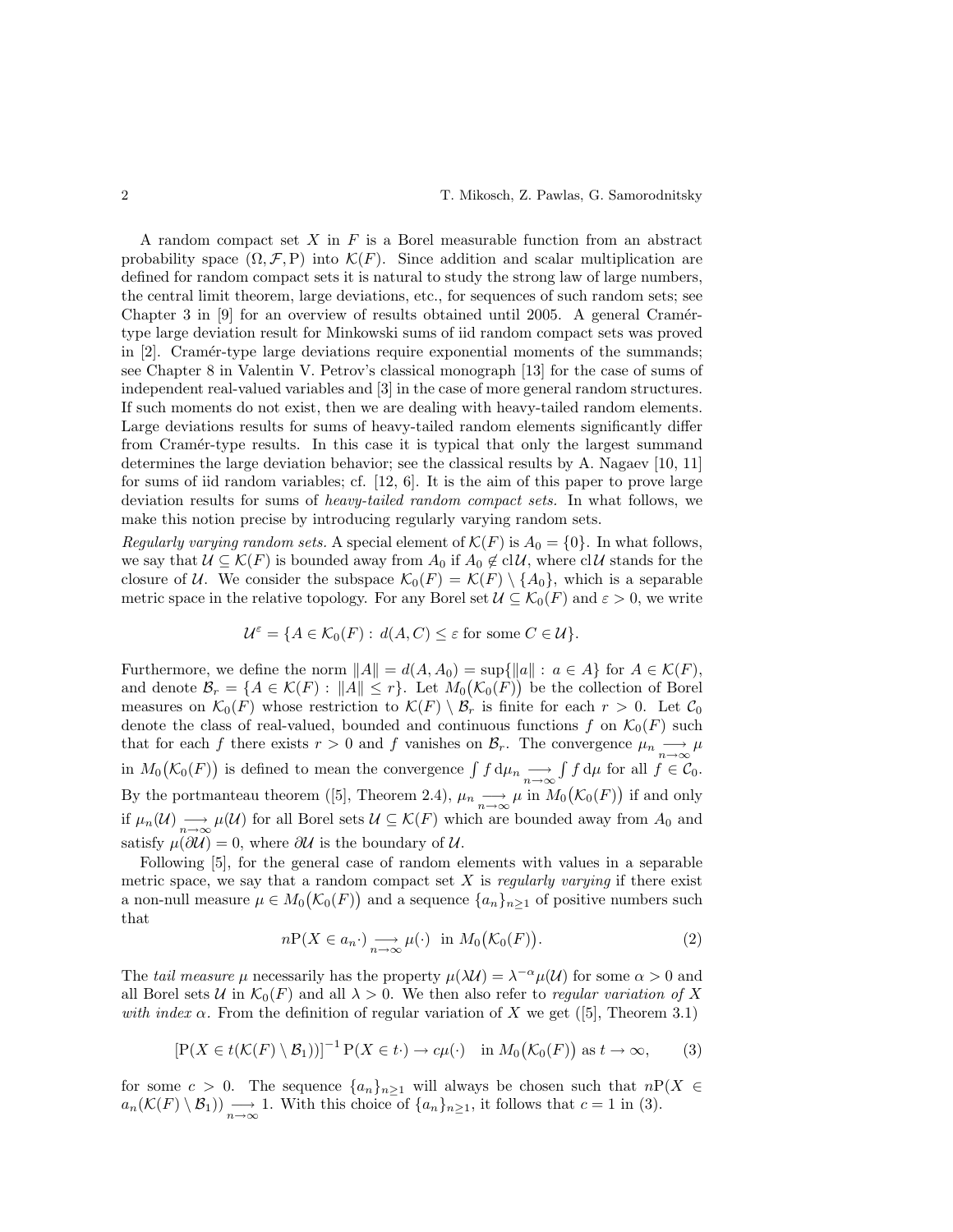A random compact set  $X$  in  $F$  is a Borel measurable function from an abstract probability space  $(\Omega, \mathcal{F}, P)$  into  $\mathcal{K}(F)$ . Since addition and scalar multiplication are defined for random compact sets it is natural to study the strong law of large numbers, the central limit theorem, large deviations, etc., for sequences of such random sets; see Chapter 3 in  $[9]$  for an overview of results obtained until 2005. A general Cramértype large deviation result for Minkowski sums of iid random compact sets was proved in [2]. Cramér-type large deviations require exponential moments of the summands; see Chapter 8 in Valentin V. Petrov's classical monograph [13] for the case of sums of independent real-valued variables and [3] in the case of more general random structures. If such moments do not exist, then we are dealing with heavy-tailed random elements. Large deviations results for sums of heavy-tailed random elements significantly differ from Cramér-type results. In this case it is typical that only the largest summand determines the large deviation behavior; see the classical results by A. Nagaev [10, 11] for sums of iid random variables; cf.  $[12, 6]$ . It is the aim of this paper to prove large deviation results for sums of heavy-tailed random compact sets. In what follows, we make this notion precise by introducing regularly varying random sets.

Regularly varying random sets. A special element of  $\mathcal{K}(F)$  is  $A_0 = \{0\}$ . In what follows, we say that  $U \subseteq \mathcal{K}(F)$  is bounded away from  $A_0$  if  $A_0 \notin \text{cl}\,\mathcal{U}$ , where  $\text{cl}\,\mathcal{U}$  stands for the closure of U. We consider the subspace  $\mathcal{K}_0(F) = \mathcal{K}(F) \setminus \{A_0\}$ , which is a separable metric space in the relative topology. For any Borel set  $\mathcal{U} \subseteq \mathcal{K}_0(F)$  and  $\varepsilon > 0$ , we write

$$
\mathcal{U}^{\varepsilon} = \{ A \in \mathcal{K}_0(F) : d(A, C) \le \varepsilon \text{ for some } C \in \mathcal{U} \}.
$$

Furthermore, we define the norm  $||A|| = d(A, A_0) = \sup{||a|| : a \in A}$  for  $A \in \mathcal{K}(F)$ , and denote  $\mathcal{B}_r = \{A \in \mathcal{K}(F) : ||A|| \leq r\}$ . Let  $M_0(\mathcal{K}_0(F))$  be the collection of Borel measures on  $\mathcal{K}_0(F)$  whose restriction to  $\mathcal{K}(F) \setminus \mathcal{B}_r$  is finite for each  $r > 0$ . Let  $\mathcal{C}_0$ denote the class of real-valued, bounded and continuous functions f on  $\mathcal{K}_0(F)$  such that for each f there exists  $r > 0$  and f vanishes on  $\mathcal{B}_r$ . The convergence  $\mu_n \longrightarrow_{n \to \infty} \mu$ in  $M_0(\mathcal{K}_0(F))$  is defined to mean the convergence  $\int f d\mu_n \longrightarrow_{\infty} \int f d\mu$  for all  $f \in \mathcal{C}_0$ . By the portmanteau theorem ([5], Theorem 2.4),  $\mu_n \longrightarrow_{n \to \infty} \mu$  in  $M_0(\mathcal{K}_0(F))$  if and only if  $\mu_n(\mathcal{U}) \longrightarrow \mu(\mathcal{U})$  for all Borel sets  $\mathcal{U} \subseteq \mathcal{K}(F)$  which are bounded away from  $A_0$  and satisfy  $\mu(\partial \mathcal{U}) = 0$ , where  $\partial \mathcal{U}$  is the boundary of  $\mathcal{U}$ .

Following [5], for the general case of random elements with values in a separable metric space, we say that a random compact set  $X$  is *regularly varying* if there exist a non-null measure  $\mu \in M_0(\mathcal{K}_0(F))$  and a sequence  $\{a_n\}_{n\geq 1}$  of positive numbers such that

$$
n\mathcal{P}(X \in a_n \cdot) \underset{n \to \infty}{\longrightarrow} \mu(\cdot) \quad \text{in} \quad M_0(\mathcal{K}_0(F)). \tag{2}
$$

The tail measure  $\mu$  necessarily has the property  $\mu(\lambda \mathcal{U}) = \lambda^{-\alpha} \mu(\mathcal{U})$  for some  $\alpha > 0$  and all Borel sets U in  $\mathcal{K}_0(F)$  and all  $\lambda > 0$ . We then also refer to *regular variation of* X with index  $\alpha$ . From the definition of regular variation of X we get ([5], Theorem 3.1)

$$
[P(X \in t(\mathcal{K}(F) \setminus \mathcal{B}_1))]^{-1} P(X \in t \cdot) \to c\mu(\cdot) \quad \text{in } M_0(\mathcal{K}_0(F)) \text{ as } t \to \infty,
$$
 (3)

for some  $c > 0$ . The sequence  $\{a_n\}_{n>1}$  will always be chosen such that  $nP(X \in$  $a_n(\mathcal{K}(F) \setminus \mathcal{B}_1)) \longrightarrow_{n \to \infty} 1$ . With this choice of  $\{a_n\}_{n \geq 1}$ , it follows that  $c = 1$  in (3).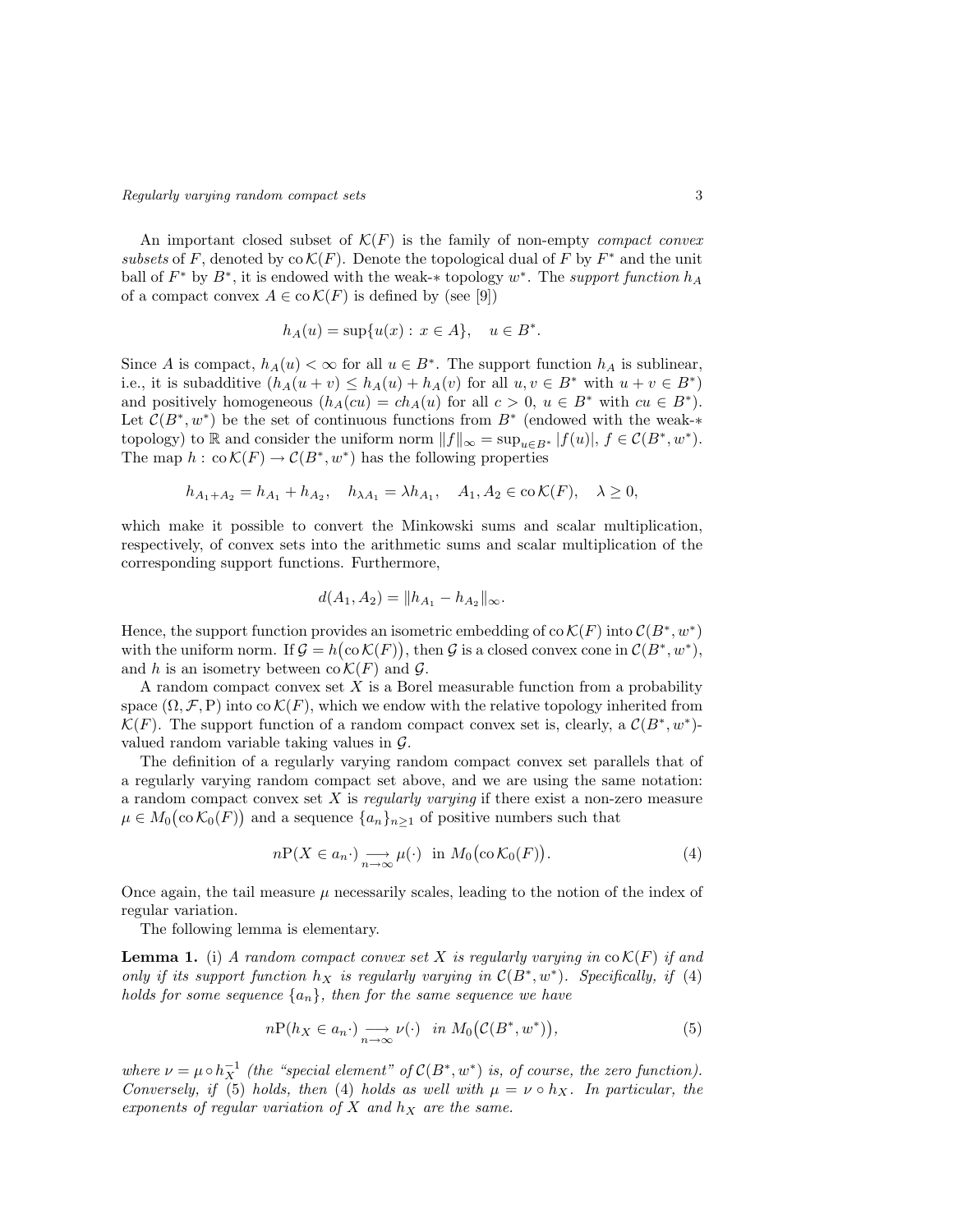An important closed subset of  $\mathcal{K}(F)$  is the family of non-empty *compact convex* subsets of F, denoted by  $\cot K(F)$ . Denote the topological dual of F by  $F^*$  and the unit ball of  $F^*$  by  $B^*$ , it is endowed with the weak-\* topology  $w^*$ . The support function  $h_A$ of a compact convex  $A \in \text{co }\mathcal{K}(F)$  is defined by (see [9])

$$
h_A(u) = \sup\{u(x) : x \in A\}, \quad u \in B^*.
$$

Since A is compact,  $h_A(u) < \infty$  for all  $u \in B^*$ . The support function  $h_A$  is sublinear, i.e., it is subadditive  $(h_A(u + v) \leq h_A(u) + h_A(v)$  for all  $u, v \in B^*$  with  $u + v \in B^*$ ) and positively homogeneous  $(h_A(cu) = ch_A(u)$  for all  $c > 0$ ,  $u \in B^*$  with  $cu \in B^*$ ). Let  $\mathcal{C}(B^*, w^*)$  be the set of continuous functions from  $B^*$  (endowed with the weak-\* topology) to R and consider the uniform norm  $||f||_{\infty} = \sup_{u \in B^*} |f(u)|, f \in C(B^*, w^*)$ . The map  $h: \text{co }\mathcal{K}(F) \to \mathcal{C}(B^*, w^*)$  has the following properties

$$
h_{A_1+A_2} = h_{A_1} + h_{A_2}, \quad h_{\lambda A_1} = \lambda h_{A_1}, \quad A_1, A_2 \in \text{co }\mathcal{K}(F), \quad \lambda \ge 0,
$$

which make it possible to convert the Minkowski sums and scalar multiplication, respectively, of convex sets into the arithmetic sums and scalar multiplication of the corresponding support functions. Furthermore,

$$
d(A_1, A_2) = ||h_{A_1} - h_{A_2}||_{\infty}.
$$

Hence, the support function provides an isometric embedding of co  $\mathcal{K}(F)$  into  $\mathcal{C}(B^*, w^*)$ with the uniform norm. If  $\mathcal{G} = h(\text{co }\mathcal{K}(F))$ , then  $\mathcal{G}$  is a closed convex cone in  $\mathcal{C}(B^*, w^*)$ , and h is an isometry between  $\operatorname{co} \mathcal{K}(F)$  and  $\mathcal{G}$ .

A random compact convex set  $X$  is a Borel measurable function from a probability space  $(\Omega, \mathcal{F}, P)$  into co  $\mathcal{K}(F)$ , which we endow with the relative topology inherited from  $\mathcal{K}(F)$ . The support function of a random compact convex set is, clearly, a  $\mathcal{C}(B^*, w^*)$ valued random variable taking values in G.

The definition of a regularly varying random compact convex set parallels that of a regularly varying random compact set above, and we are using the same notation: a random compact convex set  $X$  is *regularly varying* if there exist a non-zero measure  $\mu \in M_0(\text{co }\mathcal{K}_0(F))$  and a sequence  $\{a_n\}_{n\geq 1}$  of positive numbers such that

$$
n\mathcal{P}(X \in a_n \cdot) \xrightarrow[n \to \infty]{} \mu(\cdot) \quad \text{in} \ M_0(\text{co}\,\mathcal{K}_0(F)).
$$
 (4)

Once again, the tail measure  $\mu$  necessarily scales, leading to the notion of the index of regular variation.

The following lemma is elementary.

**Lemma 1.** (i) A random compact convex set X is regularly varying in  $\text{co } K(F)$  if and only if its support function  $h_X$  is regularly varying in  $\mathcal{C}(B^*,w^*)$ . Specifically, if (4) holds for some sequence  $\{a_n\}$ , then for the same sequence we have

$$
nP(h_X \in a_n \cdot) \longrightarrow_{n \to \infty} \nu(\cdot) \quad \text{in } M_0(\mathcal{C}(B^*, w^*)), \tag{5}
$$

where  $\nu = \mu \circ h_X^{-1}$  (the "special element" of  $C(B^*, w^*)$  is, of course, the zero function). Conversely, if (5) holds, then (4) holds as well with  $\mu = \nu \circ h_X$ . In particular, the exponents of regular variation of  $X$  and  $h_X$  are the same.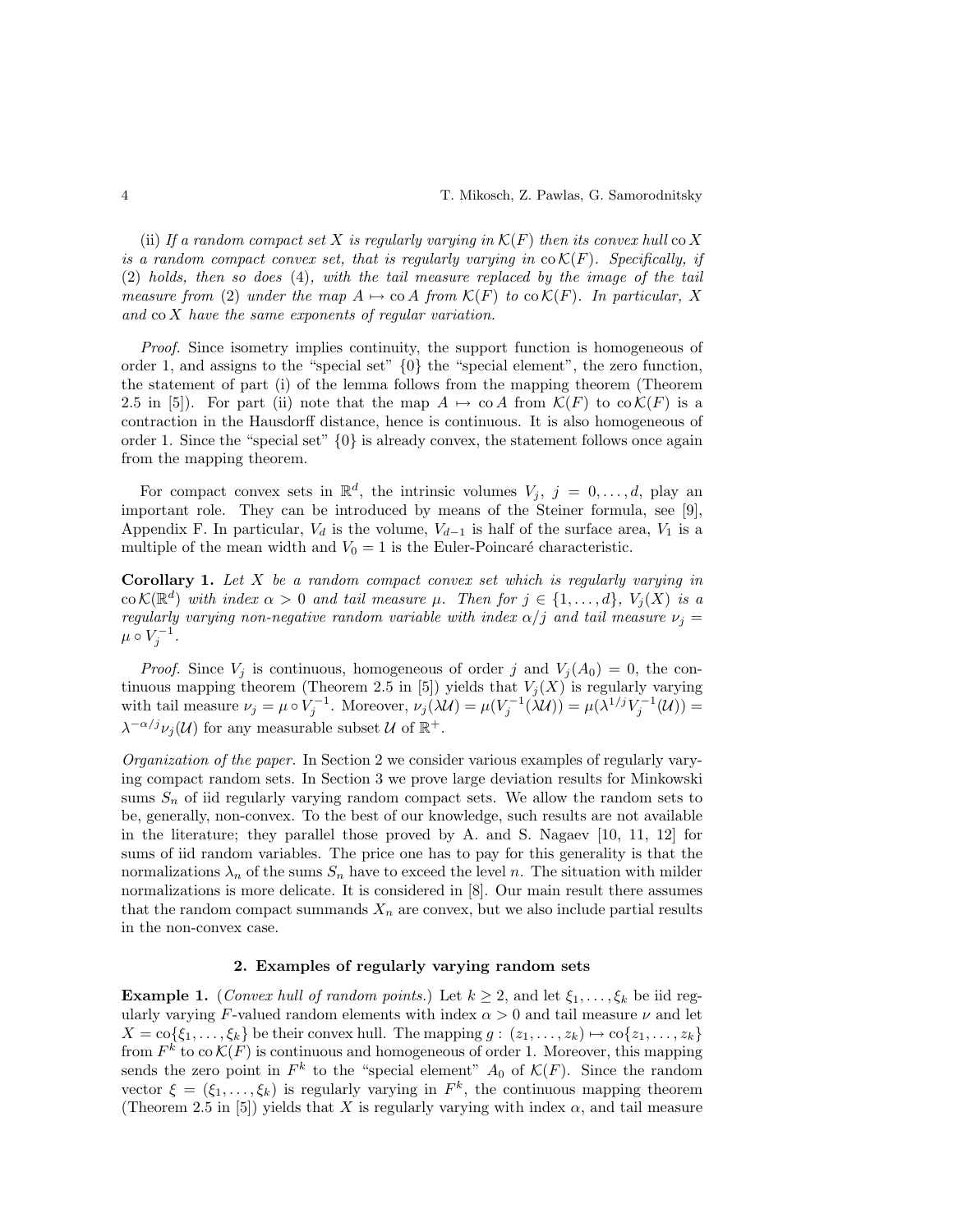(ii) If a random compact set X is regularly varying in  $\mathcal{K}(F)$  then its convex hull co X is a random compact convex set, that is regularly varying in  $\text{co } \mathcal{K}(F)$ . Specifically, if (2) holds, then so does (4), with the tail measure replaced by the image of the tail measure from (2) under the map  $A \mapsto \text{co } A$  from  $\mathcal{K}(F)$  to  $\text{co } \mathcal{K}(F)$ . In particular, X and co X have the same exponents of regular variation.

Proof. Since isometry implies continuity, the support function is homogeneous of order 1, and assigns to the "special set"  $\{0\}$  the "special element", the zero function, the statement of part (i) of the lemma follows from the mapping theorem (Theorem 2.5 in [5]). For part (ii) note that the map  $A \mapsto \text{co } A$  from  $\mathcal{K}(F)$  to  $\text{co } \mathcal{K}(F)$  is a contraction in the Hausdorff distance, hence is continuous. It is also homogeneous of order 1. Since the "special set"  $\{0\}$  is already convex, the statement follows once again from the mapping theorem.

For compact convex sets in  $\mathbb{R}^d$ , the intrinsic volumes  $V_j$ ,  $j = 0, \ldots, d$ , play an important role. They can be introduced by means of the Steiner formula, see [9], Appendix F. In particular,  $V_d$  is the volume,  $V_{d-1}$  is half of the surface area,  $V_1$  is a multiple of the mean width and  $V_0 = 1$  is the Euler-Poincaré characteristic.

**Corollary 1.** Let  $X$  be a random compact convex set which is regularly varying in co  $\mathcal{K}(\mathbb{R}^d)$  with index  $\alpha > 0$  and tail measure  $\mu$ . Then for  $j \in \{1, \ldots, d\}$ ,  $V_j(X)$  is a regularly varying non-negative random variable with index  $\alpha/j$  and tail measure  $\nu_j =$  $\mu \circ V_j^{-1}.$ 

*Proof.* Since  $V_j$  is continuous, homogeneous of order j and  $V_j(A_0) = 0$ , the continuous mapping theorem (Theorem 2.5 in [5]) yields that  $V_j(X)$  is regularly varying with tail measure  $\nu_j = \mu \circ V_j^{-1}$ . Moreover,  $\nu_j(\lambda \mathcal{U}) = \mu(V_j^{-1}(\lambda \mathcal{U})) = \mu(\lambda^{1/j} V_j^{-1}(\mathcal{U})) =$  $\lambda^{-\alpha/j} \nu_j(\mathcal{U})$  for any measurable subset  $\mathcal{U}$  of  $\mathbb{R}^+$ .

Organization of the paper. In Section 2 we consider various examples of regularly varying compact random sets. In Section 3 we prove large deviation results for Minkowski sums  $S_n$  of iid regularly varying random compact sets. We allow the random sets to be, generally, non-convex. To the best of our knowledge, such results are not available in the literature; they parallel those proved by A. and S. Nagaev [10, 11, 12] for sums of iid random variables. The price one has to pay for this generality is that the normalizations  $\lambda_n$  of the sums  $S_n$  have to exceed the level n. The situation with milder normalizations is more delicate. It is considered in [8]. Our main result there assumes that the random compact summands  $X_n$  are convex, but we also include partial results in the non-convex case.

## 2. Examples of regularly varying random sets

**Example 1.** (Convex hull of random points.) Let  $k \geq 2$ , and let  $\xi_1, \ldots, \xi_k$  be iid regularly varying F-valued random elements with index  $\alpha > 0$  and tail measure  $\nu$  and let  $X = \text{co}\{\xi_1, \ldots, \xi_k\}$  be their convex hull. The mapping  $g : (z_1, \ldots, z_k) \mapsto \text{co}\{z_1, \ldots, z_k\}$ from  $F^k$  to co  $\mathcal{K}(F)$  is continuous and homogeneous of order 1. Moreover, this mapping sends the zero point in  $F^k$  to the "special element"  $A_0$  of  $\mathcal{K}(F)$ . Since the random vector  $\xi = (\xi_1, \ldots, \xi_k)$  is regularly varying in  $F^k$ , the continuous mapping theorem (Theorem 2.5 in [5]) yields that X is regularly varying with index  $\alpha$ , and tail measure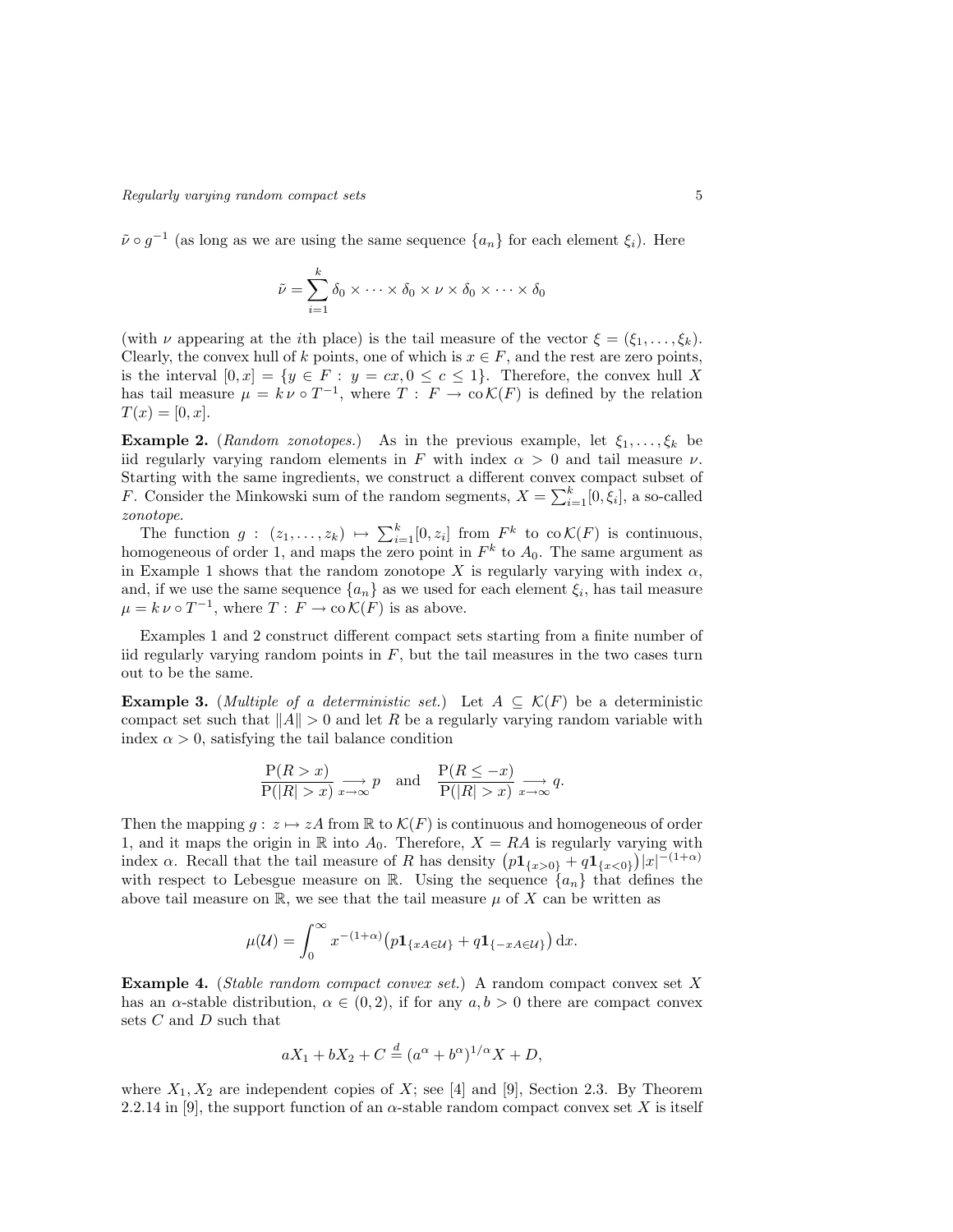$\tilde{\nu} \circ g^{-1}$  (as long as we are using the same sequence  $\{a_n\}$  for each element  $\xi_i$ ). Here

$$
\tilde{\nu} = \sum_{i=1}^{k} \delta_0 \times \cdots \times \delta_0 \times \nu \times \delta_0 \times \cdots \times \delta_0
$$

(with  $\nu$  appearing at the *i*th place) is the tail measure of the vector  $\xi = (\xi_1, \ldots, \xi_k)$ . Clearly, the convex hull of k points, one of which is  $x \in F$ , and the rest are zero points, is the interval  $[0, x] = \{y \in F : y = cx, 0 \le c \le 1\}$ . Therefore, the convex hull X has tail measure  $\mu = k \nu \circ T^{-1}$ , where  $T : F \to \text{co } \mathcal{K}(F)$  is defined by the relation  $T(x) = [0, x].$ 

**Example 2.** (Random zonotopes.) As in the previous example, let  $\xi_1, \ldots, \xi_k$  be iid regularly varying random elements in F with index  $\alpha > 0$  and tail measure  $\nu$ . Starting with the same ingredients, we construct a different convex compact subset of *F*. Consider the Minkowski sum of the random segments,  $X = \sum_{i=1}^{k} [0, \xi_i]$ , a so-called zonotope.

The function  $g: (z_1, \ldots, z_k) \mapsto \sum_{i=1}^k [0, z_i]$  from  $F^k$  to  $\operatorname{co} \mathcal{K}(F)$  is continuous, homogeneous of order 1, and maps the zero point in  $F<sup>k</sup>$  to  $A<sub>0</sub>$ . The same argument as in Example 1 shows that the random zonotope X is regularly varying with index  $\alpha$ , and, if we use the same sequence  $\{a_n\}$  as we used for each element  $\xi_i$ , has tail measure  $\mu = k \nu \circ T^{-1}$ , where  $T : F \to \text{co }\mathcal{K}(F)$  is as above.

Examples 1 and 2 construct different compact sets starting from a finite number of iid regularly varying random points in  $F$ , but the tail measures in the two cases turn out to be the same.

**Example 3.** (*Multiple of a deterministic set.*) Let  $A \subseteq \mathcal{K}(F)$  be a deterministic compact set such that  $||A|| > 0$  and let R be a regularly varying random variable with index  $\alpha > 0$ , satisfying the tail balance condition

$$
\frac{P(R > x)}{P(|R| > x)} \xrightarrow{x \to \infty} p \text{ and } \frac{P(R \le -x)}{P(|R| > x)} \xrightarrow{x \to \infty} q.
$$

Then the mapping  $g: z \mapsto zA$  from  $\mathbb R$  to  $\mathcal K(F)$  is continuous and homogeneous of order 1, and it maps the origin in  $\mathbb R$  into  $A_0$ . Therefore,  $X = RA$  is regularly varying with index  $\alpha$ . Recall that the tail measure of R has density  $(p1_{\{x>0\}}+q1_{\{x<0\}})|x|^{-(1+\alpha)}$ with respect to Lebesgue measure on R. Using the sequence  $\{a_n\}$  that defines the above tail measure on  $\mathbb{R}$ , we see that the tail measure  $\mu$  of X can be written as

$$
\mu(\mathcal{U}) = \int_0^\infty x^{-(1+\alpha)} \big( p \mathbf{1}_{\{xA \in \mathcal{U}\}} + q \mathbf{1}_{\{-xA \in \mathcal{U}\}} \big) \, \mathrm{d}x.
$$

Example 4. (Stable random compact convex set.) A random compact convex set X has an  $\alpha$ -stable distribution,  $\alpha \in (0, 2)$ , if for any  $a, b > 0$  there are compact convex sets C and D such that

$$
aX_1 + bX_2 + C \stackrel{d}{=} (a^{\alpha} + b^{\alpha})^{1/\alpha} X + D,
$$

where  $X_1, X_2$  are independent copies of X; see [4] and [9], Section 2.3. By Theorem 2.2.14 in [9], the support function of an  $\alpha$ -stable random compact convex set X is itself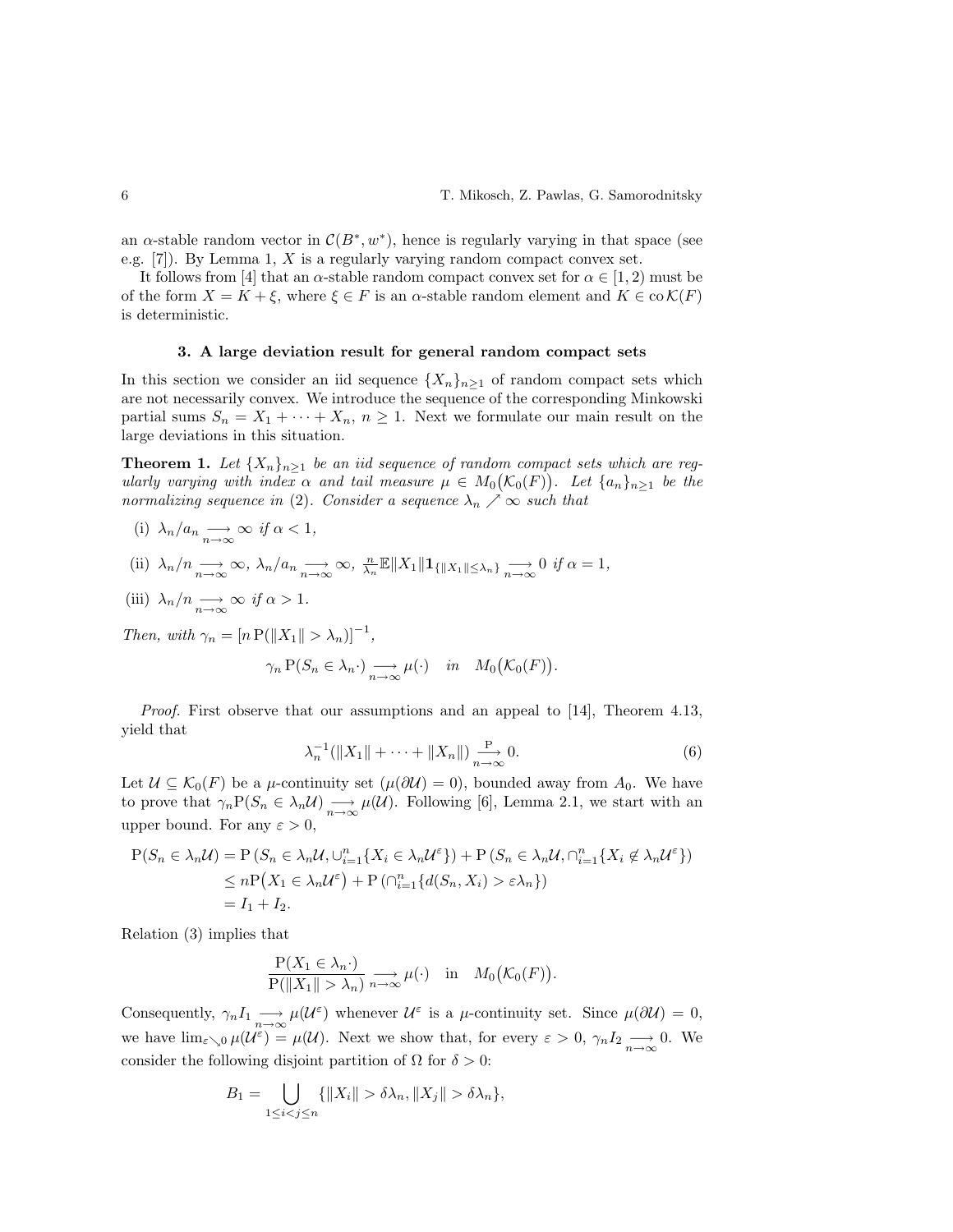an  $\alpha$ -stable random vector in  $\mathcal{C}(B^*, w^*)$ , hence is regularly varying in that space (see e.g.  $[7]$ . By Lemma 1, X is a regularly varying random compact convex set.

It follows from [4] that an  $\alpha$ -stable random compact convex set for  $\alpha \in [1, 2)$  must be of the form  $X = K + \xi$ , where  $\xi \in F$  is an  $\alpha$ -stable random element and  $K \in \text{co }\mathcal{K}(F)$ is deterministic.

#### 3. A large deviation result for general random compact sets

In this section we consider an iid sequence  $\{X_n\}_{n>1}$  of random compact sets which are not necessarily convex. We introduce the sequence of the corresponding Minkowski partial sums  $S_n = X_1 + \cdots + X_n$ ,  $n \geq 1$ . Next we formulate our main result on the large deviations in this situation.

**Theorem 1.** Let  $\{X_n\}_{n\geq 1}$  be an iid sequence of random compact sets which are regularly varying with index  $\alpha$  and tail measure  $\mu \in M_0(\mathcal{K}_0(F))$ . Let  $\{a_n\}_{n\geq 1}$  be the normalizing sequence in (2). Consider a sequence  $\lambda_n \nearrow \infty$  such that

(i) 
$$
\lambda_n/a_n \longrightarrow_{n \to \infty} \infty
$$
 if  $\alpha < 1$ ,

(ii) 
$$
\lambda_n/n \longrightarrow_{n \to \infty} \infty
$$
,  $\lambda_n/a_n \longrightarrow_{n \to \infty} \infty$ ,  $\frac{n}{\lambda_n} \mathbb{E} ||X_1|| \mathbf{1}_{\{|X_1| \leq \lambda_n\}} \longrightarrow_{n \to \infty} 0$  if  $\alpha = 1$ ,

(iii) 
$$
\lambda_n/n \longrightarrow_{n \to \infty} \infty
$$
 if  $\alpha > 1$ .

Then, with  $\gamma_n = [n P(||X_1|| > \lambda_n)]^{-1}$ ,

$$
\gamma_n \, P(S_n \in \lambda_n \cdot) \underset{n \to \infty}{\longrightarrow} \mu(\cdot) \quad in \quad M_0(\mathcal{K}_0(F)).
$$

Proof. First observe that our assumptions and an appeal to [14], Theorem 4.13, yield that

$$
\lambda_n^{-1}(\|X_1\| + \dots + \|X_n\|) \xrightarrow[n \to \infty]{\mathbf{P}} 0. \tag{6}
$$

Let  $U \subseteq \mathcal{K}_0(F)$  be a  $\mu$ -continuity set  $(\mu(\partial U) = 0)$ , bounded away from  $A_0$ . We have to prove that  $\gamma_n P(S_n \in \lambda_n \mathcal{U}) \longrightarrow_{n \to \infty} \mu(\mathcal{U})$ . Following [6], Lemma 2.1, we start with an upper bound. For any  $\varepsilon > 0$ ,

$$
P(S_n \in \lambda_n \mathcal{U}) = P(S_n \in \lambda_n \mathcal{U}, \bigcup_{i=1}^n \{X_i \in \lambda_n \mathcal{U}^{\varepsilon}\}) + P(S_n \in \lambda_n \mathcal{U}, \bigcap_{i=1}^n \{X_i \notin \lambda_n \mathcal{U}^{\varepsilon}\})
$$
  
\n
$$
\leq n P(X_1 \in \lambda_n \mathcal{U}^{\varepsilon}) + P(\bigcap_{i=1}^n \{d(S_n, X_i) > \varepsilon \lambda_n\})
$$
  
\n
$$
= I_1 + I_2.
$$

Relation (3) implies that

$$
\frac{\mathbf{P}(X_1 \in \lambda_n \cdot)}{\mathbf{P}(\|X_1\| > \lambda_n)} \underset{n \to \infty}{\longrightarrow} \mu(\cdot) \quad \text{in} \quad M_0(\mathcal{K}_0(F)).
$$

Consequently,  $\gamma_n I_1 \longrightarrow_{\infty} \mu(\mathcal{U}^{\varepsilon})$  whenever  $\mathcal{U}^{\varepsilon}$  is a  $\mu$ -continuity set. Since  $\mu(\partial \mathcal{U}) = 0$ , we have  $\lim_{\varepsilon\searrow0}\mu(\mathcal{U}^{\varepsilon})=\mu(\mathcal{U}).$  Next we show that, for every  $\varepsilon>0$ ,  $\gamma_n I_2 \longrightarrow 0$ . We consider the following disjoint partition of  $\Omega$  for  $\delta > 0$ :

$$
B_1 = \bigcup_{1 \le i < j \le n} \{ \|X_i\| > \delta \lambda_n, \|X_j\| > \delta \lambda_n \},
$$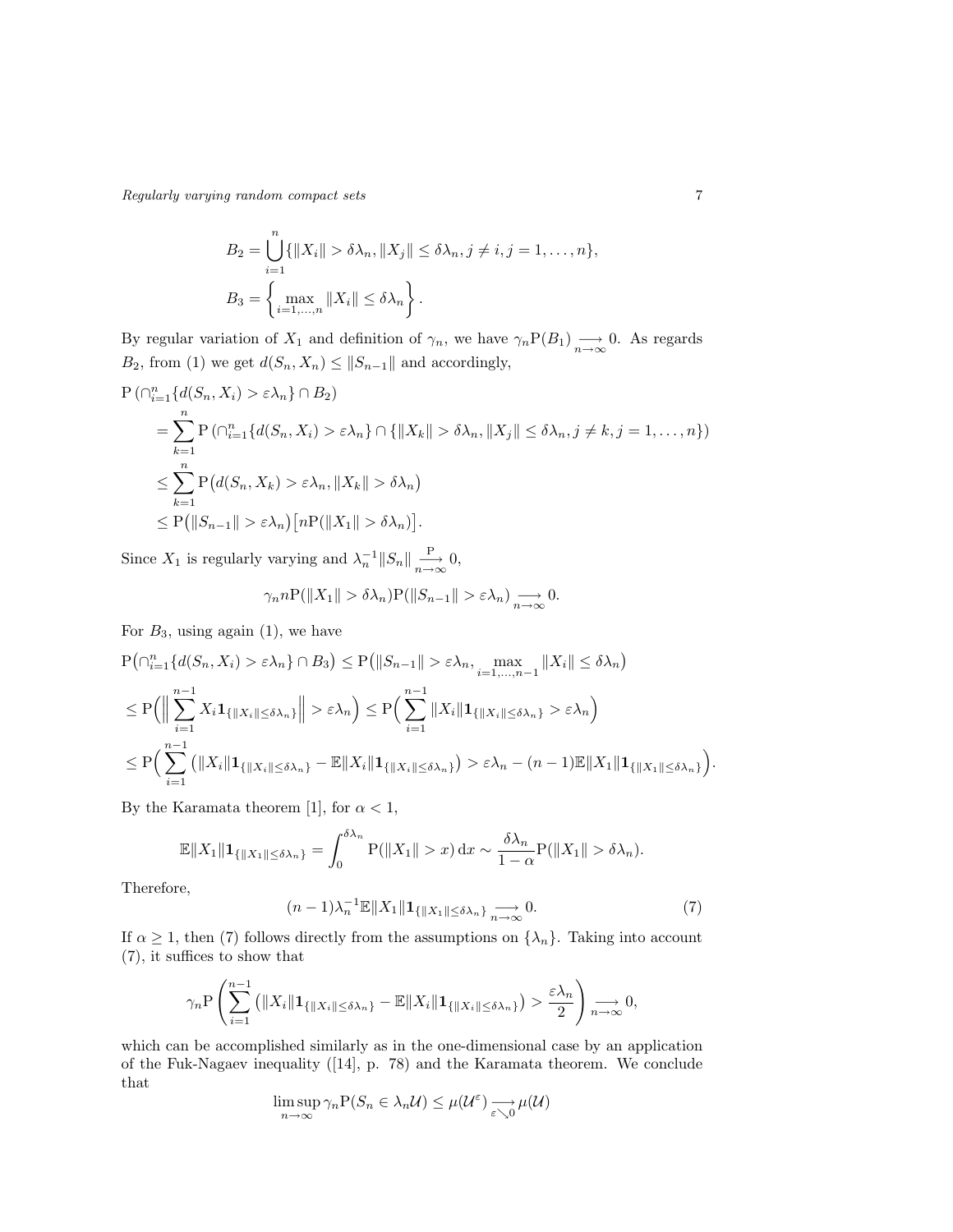Regularly varying random compact sets 7

$$
B_2 = \bigcup_{i=1}^n \{ \|X_i\| > \delta \lambda_n, \|X_j\| \le \delta \lambda_n, j \ne i, j = 1, ..., n \},
$$
  

$$
B_3 = \left\{ \max_{i=1,...,n} \|X_i\| \le \delta \lambda_n \right\}.
$$

By regular variation of  $X_1$  and definition of  $\gamma_n$ , we have  $\gamma_n P(B_1) \longrightarrow_{n \to \infty} 0$ . As regards  $B_2$ , from (1) we get  $d(S_n, X_n) \leq ||S_{n-1}||$  and accordingly,

$$
P\left(\bigcap_{i=1}^{n} \{d(S_n, X_i) > \varepsilon \lambda_n\} \cap B_2\right)
$$
  
= 
$$
\sum_{k=1}^{n} P\left(\bigcap_{i=1}^{n} \{d(S_n, X_i) > \varepsilon \lambda_n\} \cap \{\|X_k\| > \delta \lambda_n, \|X_j\| \le \delta \lambda_n, j \ne k, j = 1, ..., n\}\right)
$$
  

$$
\le \sum_{k=1}^{n} P\left(d(S_n, X_k) > \varepsilon \lambda_n, \|X_k\| > \delta \lambda_n\right)
$$
  

$$
\le P\left(\|S_{n-1}\| > \varepsilon \lambda_n\right) \left[nP(\|X_1\| > \delta \lambda_n)\right].
$$

Since  $X_1$  is regularly varying and  $\lambda_n^{-1} ||S_n|| \frac{P}{n \to \infty} 0$ ,

$$
\gamma_n n \mathcal{P}(\|X_1\| > \delta \lambda_n)\mathcal{P}(\|S_{n-1}\| > \varepsilon \lambda_n) \underset{n \to \infty}{\longrightarrow} 0.
$$

For  $B_3$ , using again (1), we have

$$
P\left(\bigcap_{i=1}^{n} \{d(S_n, X_i) > \varepsilon \lambda_n\} \cap B_3\right) \le P\left(\|S_{n-1}\| > \varepsilon \lambda_n, \max_{i=1,\dots,n-1} \|X_i\| \le \delta \lambda_n\right)
$$
  
\n
$$
\le P\left(\Big\|\sum_{i=1}^{n-1} X_i \mathbf{1}_{\{\|X_i\| \le \delta \lambda_n\}}\Big\| > \varepsilon \lambda_n\right) \le P\left(\sum_{i=1}^{n-1} \|X_i\| \mathbf{1}_{\{\|X_i\| \le \delta \lambda_n\}} > \varepsilon \lambda_n\right)
$$
  
\n
$$
\le P\left(\sum_{i=1}^{n-1} \left(\|X_i\| \mathbf{1}_{\{\|X_i\| \le \delta \lambda_n\}} - \mathbb{E}\|X_i\| \mathbf{1}_{\{\|X_i\| \le \delta \lambda_n\}}\right) > \varepsilon \lambda_n - (n-1)\mathbb{E}\|X_1\| \mathbf{1}_{\{\|X_1\| \le \delta \lambda_n\}}\right)
$$

By the Karamata theorem [1], for  $\alpha < 1$ ,

$$
\mathbb{E}\|X_1\|\mathbf{1}_{\{\|X_1\|\leq \delta\lambda_n\}} = \int_0^{\delta\lambda_n} \mathbb{P}(\|X_1\| > x) \, \mathrm{d}x \sim \frac{\delta\lambda_n}{1-\alpha} \mathbb{P}(\|X_1\| > \delta\lambda_n).
$$

Therefore,

$$
(n-1)\lambda_n^{-1}\mathbb{E}\|X_1\|\mathbf{1}_{\{\|X_1\|\leq \delta\lambda_n\}} \underset{n\to\infty}{\longrightarrow} 0. \tag{7}
$$

If  $\alpha \geq 1$ , then (7) follows directly from the assumptions on  $\{\lambda_n\}$ . Taking into account (7), it suffices to show that

$$
\gamma_n \mathbf{P} \left( \sum_{i=1}^{n-1} \left( \|X_i\| \mathbf{1}_{\{\|X_i\| \le \delta \lambda_n\}} - \mathbb{E} \|X_i\| \mathbf{1}_{\{\|X_i\| \le \delta \lambda_n\}} \right) > \frac{\varepsilon \lambda_n}{2} \right) \underset{n \to \infty}{\longrightarrow} 0,
$$

which can be accomplished similarly as in the one-dimensional case by an application of the Fuk-Nagaev inequality ([14], p. 78) and the Karamata theorem. We conclude that

$$
\limsup_{n \to \infty} \gamma_n \mathcal{P}(S_n \in \lambda_n \mathcal{U}) \le \mu(\mathcal{U}^{\varepsilon}) \xrightarrow[\varepsilon \searrow 0]{} \mu(\mathcal{U})
$$

.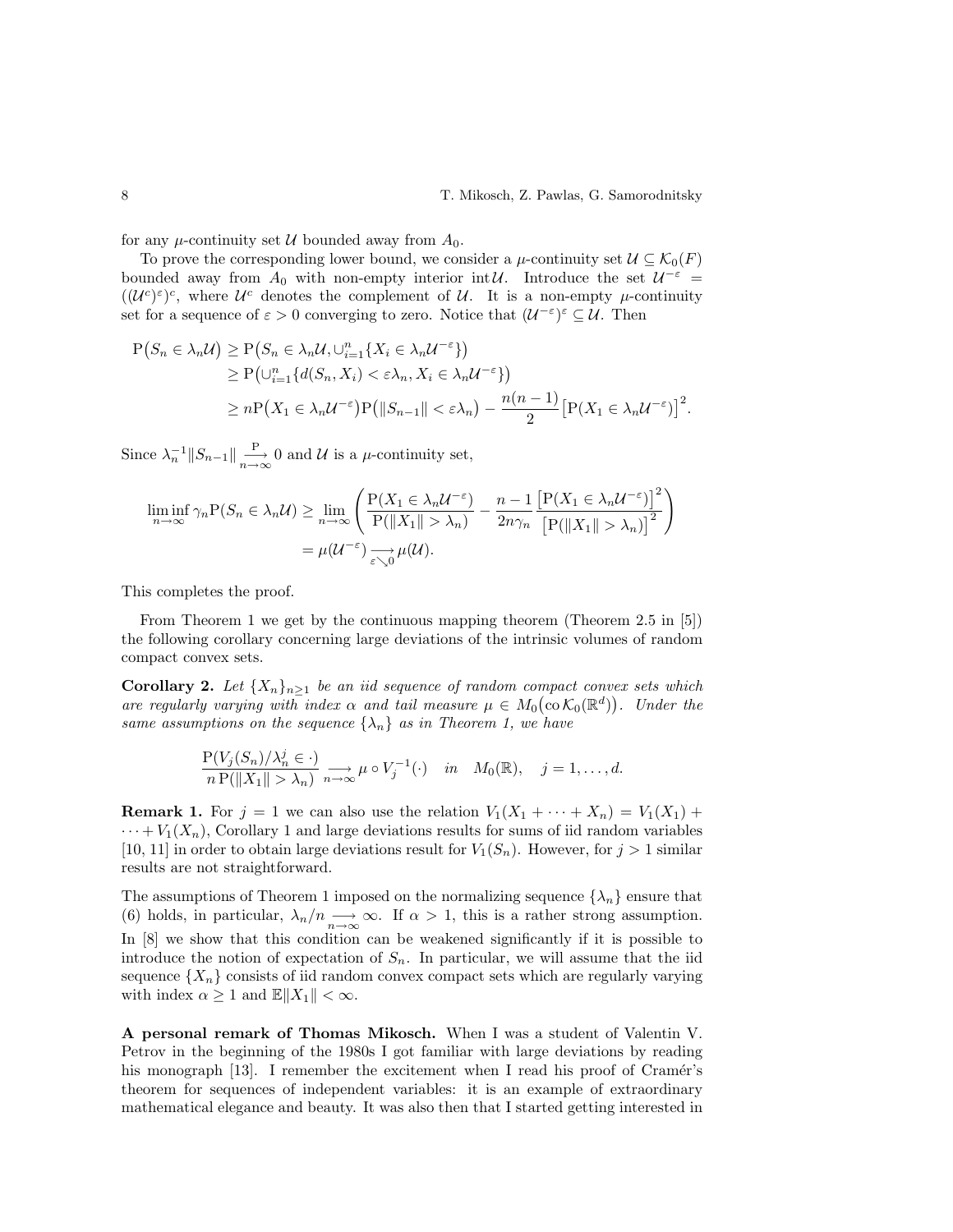for any  $\mu$ -continuity set U bounded away from  $A_0$ .

To prove the corresponding lower bound, we consider a  $\mu$ -continuity set  $\mathcal{U} \subseteq \mathcal{K}_0(F)$ bounded away from  $A_0$  with non-empty interior int U. Introduce the set  $U^{-\varepsilon}$  =  $((\mathcal{U}^c)^{\varepsilon})^c$ , where  $\mathcal{U}^c$  denotes the complement of  $\mathcal{U}$ . It is a non-empty  $\mu$ -continuity set for a sequence of  $\varepsilon > 0$  converging to zero. Notice that  $(\mathcal{U}^{-\varepsilon})^{\varepsilon} \subseteq \mathcal{U}$ . Then

$$
P(S_n \in \lambda_n \mathcal{U}) \ge P(S_n \in \lambda_n \mathcal{U}, \cup_{i=1}^n \{X_i \in \lambda_n \mathcal{U}^{-\varepsilon}\})
$$
  
\n
$$
\ge P(\cup_{i=1}^n \{d(S_n, X_i) < \varepsilon \lambda_n, X_i \in \lambda_n \mathcal{U}^{-\varepsilon}\})
$$
  
\n
$$
\ge n P(X_1 \in \lambda_n \mathcal{U}^{-\varepsilon}) P(\|S_{n-1}\| < \varepsilon \lambda_n) - \frac{n(n-1)}{2} \left[ P(X_1 \in \lambda_n \mathcal{U}^{-\varepsilon}) \right]^2.
$$

Since  $\lambda_n^{-1} || S_{n-1} || \xrightarrow[n \to \infty]{} 0$  and  $\mathcal U$  is a  $\mu$ -continuity set,

$$
\liminf_{n \to \infty} \gamma_n \mathcal{P}(S_n \in \lambda_n \mathcal{U}) \ge \lim_{n \to \infty} \left( \frac{\mathcal{P}(X_1 \in \lambda_n \mathcal{U}^{-\varepsilon})}{\mathcal{P}(\|X_1\| > \lambda_n)} - \frac{n-1}{2n\gamma_n} \frac{\left[\mathcal{P}(X_1 \in \lambda_n \mathcal{U}^{-\varepsilon})\right]^2}{\left[\mathcal{P}(\|X_1\| > \lambda_n)\right]^2} \right)
$$

$$
= \mu(\mathcal{U}^{-\varepsilon}) \xrightarrow[\varepsilon \to 0]{} \mu(\mathcal{U}).
$$

This completes the proof.

From Theorem 1 we get by the continuous mapping theorem (Theorem 2.5 in [5]) the following corollary concerning large deviations of the intrinsic volumes of random compact convex sets.

**Corollary 2.** Let  $\{X_n\}_{n\geq 1}$  be an iid sequence of random compact convex sets which are regularly varying with index  $\alpha$  and tail measure  $\mu \in M_0(\text{co } \mathcal{K}_0(\mathbb{R}^d))$ . Under the same assumptions on the sequence  $\{\lambda_n\}$  as in Theorem 1, we have

$$
\frac{\mathbf{P}(V_j(S_n)/\lambda_n^j \in \cdot)}{n \mathbf{P}(\|X_1\| > \lambda_n)} \underset{n \to \infty}{\longrightarrow} \mu \circ V_j^{-1}(\cdot) \quad in \quad M_0(\mathbb{R}), \quad j = 1, \dots, d.
$$

**Remark 1.** For  $j = 1$  we can also use the relation  $V_1(X_1 + \cdots + X_n) = V_1(X_1) +$  $\cdots + V_1(X_n)$ , Corollary 1 and large deviations results for sums of iid random variables [10, 11] in order to obtain large deviations result for  $V_1(S_n)$ . However, for  $j > 1$  similar results are not straightforward.

The assumptions of Theorem 1 imposed on the normalizing sequence  $\{\lambda_n\}$  ensure that (6) holds, in particular,  $\lambda_n/n \longrightarrow_{n \to \infty} \infty$ . If  $\alpha > 1$ , this is a rather strong assumption. In [8] we show that this condition can be weakened significantly if it is possible to introduce the notion of expectation of  $S_n$ . In particular, we will assume that the iid sequence  $\{X_n\}$  consists of iid random convex compact sets which are regularly varying with index  $\alpha \geq 1$  and  $\mathbb{E} \|X_1\| < \infty$ .

A personal remark of Thomas Mikosch. When I was a student of Valentin V. Petrov in the beginning of the 1980s I got familiar with large deviations by reading his monograph  $[13]$ . I remember the excitement when I read his proof of Cramér's theorem for sequences of independent variables: it is an example of extraordinary mathematical elegance and beauty. It was also then that I started getting interested in